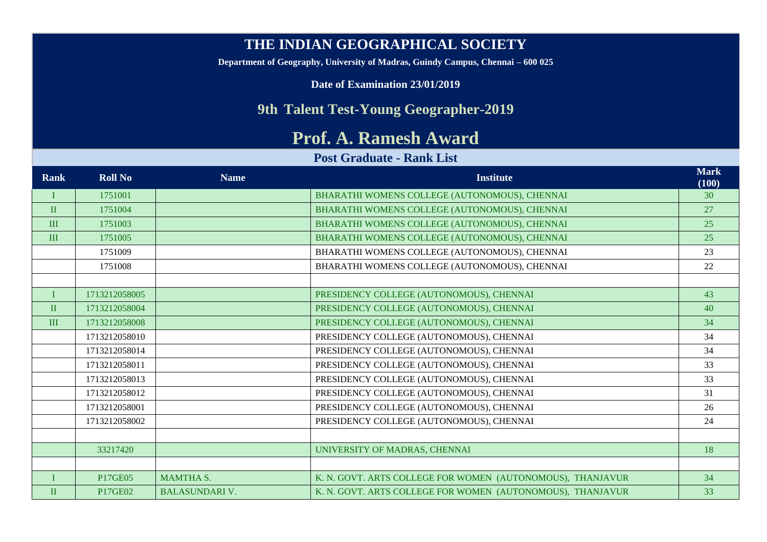## **THE INDIAN GEOGRAPHICAL SOCIETY**

**Department of Geography, University of Madras, Guindy Campus, Chennai – 600 025**

**Date of Examination 23/01/2019**

## **9th Talent Test-Young Geographer-2019**

## **Prof. A. Ramesh Award**

## **Post Graduate - Rank List**

| <b>Rank</b>  | <b>Roll No</b> | <b>Name</b>           | <b>Institute</b>                                           | <b>Mark</b><br>(100) |
|--------------|----------------|-----------------------|------------------------------------------------------------|----------------------|
|              | 1751001        |                       | BHARATHI WOMENS COLLEGE (AUTONOMOUS), CHENNAI              | 30                   |
| $\mathbf{I}$ | 1751004        |                       | BHARATHI WOMENS COLLEGE (AUTONOMOUS), CHENNAI              | 27                   |
| III          | 1751003        |                       | BHARATHI WOMENS COLLEGE (AUTONOMOUS), CHENNAI              | 25                   |
| III          | 1751005        |                       | BHARATHI WOMENS COLLEGE (AUTONOMOUS), CHENNAI              | 25                   |
|              | 1751009        |                       | BHARATHI WOMENS COLLEGE (AUTONOMOUS), CHENNAI              | 23                   |
|              | 1751008        |                       | BHARATHI WOMENS COLLEGE (AUTONOMOUS), CHENNAI              | 22                   |
|              |                |                       |                                                            |                      |
|              | 1713212058005  |                       | PRESIDENCY COLLEGE (AUTONOMOUS), CHENNAI                   | 43                   |
| $\mathbf{I}$ | 1713212058004  |                       | PRESIDENCY COLLEGE (AUTONOMOUS), CHENNAI                   | 40                   |
| III          | 1713212058008  |                       | PRESIDENCY COLLEGE (AUTONOMOUS), CHENNAI                   | 34                   |
|              | 1713212058010  |                       | PRESIDENCY COLLEGE (AUTONOMOUS), CHENNAI                   | 34                   |
|              | 1713212058014  |                       | PRESIDENCY COLLEGE (AUTONOMOUS), CHENNAI                   | 34                   |
|              | 1713212058011  |                       | PRESIDENCY COLLEGE (AUTONOMOUS), CHENNAI                   | 33                   |
|              | 1713212058013  |                       | PRESIDENCY COLLEGE (AUTONOMOUS), CHENNAI                   | 33                   |
|              | 1713212058012  |                       | PRESIDENCY COLLEGE (AUTONOMOUS), CHENNAI                   | 31                   |
|              | 1713212058001  |                       | PRESIDENCY COLLEGE (AUTONOMOUS), CHENNAI                   | 26                   |
|              | 1713212058002  |                       | PRESIDENCY COLLEGE (AUTONOMOUS), CHENNAI                   | 24                   |
|              |                |                       |                                                            |                      |
|              | 33217420       |                       | UNIVERSITY OF MADRAS, CHENNAI                              | 18                   |
|              |                |                       |                                                            |                      |
| $\mathbf{I}$ | P17GE05        | <b>MAMTHA S.</b>      | K. N. GOVT. ARTS COLLEGE FOR WOMEN (AUTONOMOUS), THANJAVUR | 34                   |
| $\mathbf{I}$ | P17GE02        | <b>BALASUNDARI V.</b> | K. N. GOVT. ARTS COLLEGE FOR WOMEN (AUTONOMOUS), THANJAVUR | 33                   |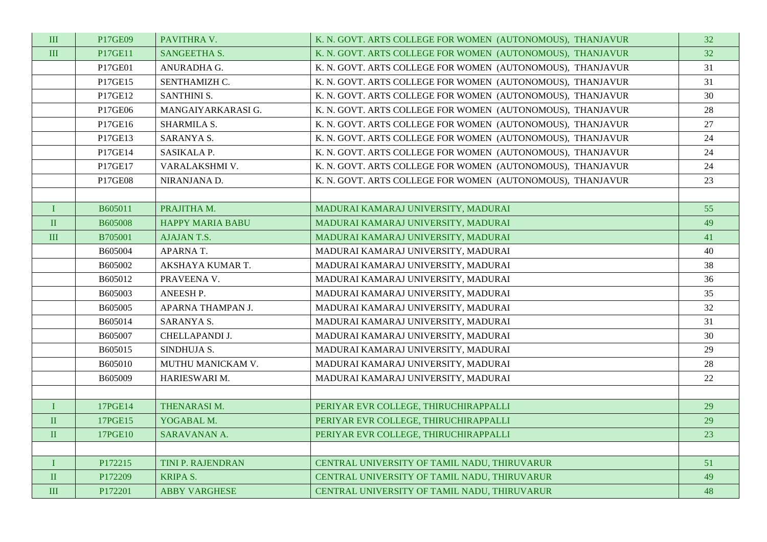| $\rm III$    | P17GE09        | PAVITHRA V.             | K. N. GOVT. ARTS COLLEGE FOR WOMEN (AUTONOMOUS), THANJAVUR | 32 |
|--------------|----------------|-------------------------|------------------------------------------------------------|----|
| $\rm III$    | P17GE11        | SANGEETHA S.            | K. N. GOVT. ARTS COLLEGE FOR WOMEN (AUTONOMOUS), THANJAVUR | 32 |
|              | P17GE01        | ANURADHA G.             | K. N. GOVT. ARTS COLLEGE FOR WOMEN (AUTONOMOUS), THANJAVUR | 31 |
|              | P17GE15        | SENTHAMIZH C.           | K. N. GOVT. ARTS COLLEGE FOR WOMEN (AUTONOMOUS), THANJAVUR | 31 |
|              | P17GE12        | <b>SANTHINI S.</b>      | K. N. GOVT. ARTS COLLEGE FOR WOMEN (AUTONOMOUS), THANJAVUR | 30 |
|              | P17GE06        | MANGAIYARKARASI G.      | K. N. GOVT. ARTS COLLEGE FOR WOMEN (AUTONOMOUS), THANJAVUR | 28 |
|              | P17GE16        | SHARMILA S.             | K. N. GOVT. ARTS COLLEGE FOR WOMEN (AUTONOMOUS), THANJAVUR | 27 |
|              | P17GE13        | SARANYA S.              | K. N. GOVT. ARTS COLLEGE FOR WOMEN (AUTONOMOUS), THANJAVUR | 24 |
|              | P17GE14        | SASIKALA P.             | K. N. GOVT. ARTS COLLEGE FOR WOMEN (AUTONOMOUS), THANJAVUR | 24 |
|              | P17GE17        | VARALAKSHMI V.          | K. N. GOVT. ARTS COLLEGE FOR WOMEN (AUTONOMOUS), THANJAVUR | 24 |
|              | P17GE08        | NIRANJANA D.            | K. N. GOVT. ARTS COLLEGE FOR WOMEN (AUTONOMOUS), THANJAVUR | 23 |
|              |                |                         |                                                            |    |
| I            | B605011        | PRAJITHA M.             | MADURAI KAMARAJ UNIVERSITY, MADURAI                        | 55 |
| $\rm II$     | <b>B605008</b> | <b>HAPPY MARIA BABU</b> | MADURAI KAMARAJ UNIVERSITY, MADURAI                        | 49 |
| $\mathbf{I}$ | B705001        | <b>AJAJANT.S.</b>       | MADURAI KAMARAJ UNIVERSITY, MADURAI                        | 41 |
|              | B605004        | APARNA T.               | MADURAI KAMARAJ UNIVERSITY, MADURAI                        | 40 |
|              | B605002        | AKSHAYA KUMAR T.        | MADURAI KAMARAJ UNIVERSITY, MADURAI                        | 38 |
|              | B605012        | PRAVEENA V.             | MADURAI KAMARAJ UNIVERSITY, MADURAI                        | 36 |
|              | B605003        | ANEESH P.               | MADURAI KAMARAJ UNIVERSITY, MADURAI                        | 35 |
|              | B605005        | APARNA THAMPAN J.       | MADURAI KAMARAJ UNIVERSITY, MADURAI                        | 32 |
|              | B605014        | SARANYA S.              | MADURAI KAMARAJ UNIVERSITY, MADURAI                        | 31 |
|              | B605007        | CHELLAPANDI J.          | MADURAI KAMARAJ UNIVERSITY, MADURAI                        | 30 |
|              | B605015        | SINDHUJA S.             | MADURAI KAMARAJ UNIVERSITY, MADURAI                        | 29 |
|              | B605010        | MUTHU MANICKAM V.       | MADURAI KAMARAJ UNIVERSITY, MADURAI                        | 28 |
|              | B605009        | HARIESWARI M.           | MADURAI KAMARAJ UNIVERSITY, MADURAI                        | 22 |
|              |                |                         |                                                            |    |
| $\bf I$      | 17PGE14        | THENARASI M.            | PERIYAR EVR COLLEGE, THIRUCHIRAPPALLI                      | 29 |
| $\;$ II      | 17PGE15        | YOGABAL M.              | PERIYAR EVR COLLEGE, THIRUCHIRAPPALLI                      | 29 |
| $\rm II$     | 17PGE10        | SARAVANAN A.            | PERIYAR EVR COLLEGE, THIRUCHIRAPPALLI                      | 23 |
|              |                |                         |                                                            |    |
| I            | P172215        | TINI P. RAJENDRAN       | CENTRAL UNIVERSITY OF TAMIL NADU, THIRUVARUR               | 51 |
| $\rm II$     | P172209        | <b>KRIPA S.</b>         | CENTRAL UNIVERSITY OF TAMIL NADU, THIRUVARUR               | 49 |
| III          | P172201        | <b>ABBY VARGHESE</b>    | CENTRAL UNIVERSITY OF TAMIL NADU, THIRUVARUR               | 48 |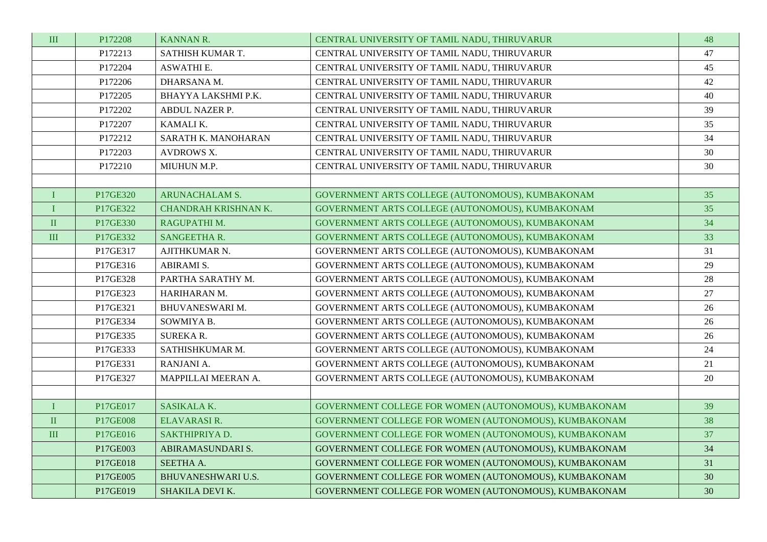| $\rm III$ | P172208  | KANNAN R.                   | CENTRAL UNIVERSITY OF TAMIL NADU, THIRUVARUR          | 48 |
|-----------|----------|-----------------------------|-------------------------------------------------------|----|
|           | P172213  | SATHISH KUMAR T.            | CENTRAL UNIVERSITY OF TAMIL NADU, THIRUVARUR          | 47 |
|           | P172204  | <b>ASWATHI E.</b>           | CENTRAL UNIVERSITY OF TAMIL NADU, THIRUVARUR          | 45 |
|           | P172206  | DHARSANA M.                 | CENTRAL UNIVERSITY OF TAMIL NADU, THIRUVARUR          | 42 |
|           | P172205  | BHAYYA LAKSHMI P.K.         | CENTRAL UNIVERSITY OF TAMIL NADU, THIRUVARUR          | 40 |
|           | P172202  | ABDUL NAZER P.              | CENTRAL UNIVERSITY OF TAMIL NADU, THIRUVARUR          | 39 |
|           | P172207  | KAMALI K.                   | CENTRAL UNIVERSITY OF TAMIL NADU, THIRUVARUR          | 35 |
|           | P172212  | SARATH K. MANOHARAN         | CENTRAL UNIVERSITY OF TAMIL NADU, THIRUVARUR          | 34 |
|           | P172203  | <b>AVDROWS X.</b>           | CENTRAL UNIVERSITY OF TAMIL NADU, THIRUVARUR          | 30 |
|           | P172210  | MIUHUN M.P.                 | CENTRAL UNIVERSITY OF TAMIL NADU, THIRUVARUR          | 30 |
|           |          |                             |                                                       |    |
| $\bf{I}$  | P17GE320 | <b>ARUNACHALAM S.</b>       | GOVERNMENT ARTS COLLEGE (AUTONOMOUS), KUMBAKONAM      | 35 |
| $\bf{I}$  | P17GE322 | <b>CHANDRAH KRISHNAN K.</b> | GOVERNMENT ARTS COLLEGE (AUTONOMOUS), KUMBAKONAM      | 35 |
| $\rm II$  | P17GE330 | RAGUPATHI M.                | GOVERNMENT ARTS COLLEGE (AUTONOMOUS), KUMBAKONAM      | 34 |
| $\rm III$ | P17GE332 | SANGEETHA R.                | GOVERNMENT ARTS COLLEGE (AUTONOMOUS), KUMBAKONAM      | 33 |
|           | P17GE317 | AJITHKUMAR N.               | GOVERNMENT ARTS COLLEGE (AUTONOMOUS), KUMBAKONAM      | 31 |
|           | P17GE316 | ABIRAMI S.                  | GOVERNMENT ARTS COLLEGE (AUTONOMOUS), KUMBAKONAM      | 29 |
|           | P17GE328 | PARTHA SARATHY M.           | GOVERNMENT ARTS COLLEGE (AUTONOMOUS), KUMBAKONAM      | 28 |
|           | P17GE323 | HARIHARAN M.                | GOVERNMENT ARTS COLLEGE (AUTONOMOUS), KUMBAKONAM      | 27 |
|           | P17GE321 | BHUVANESWARI M.             | GOVERNMENT ARTS COLLEGE (AUTONOMOUS), KUMBAKONAM      | 26 |
|           | P17GE334 | SOWMIYA B.                  | GOVERNMENT ARTS COLLEGE (AUTONOMOUS), KUMBAKONAM      | 26 |
|           | P17GE335 | <b>SUREKAR.</b>             | GOVERNMENT ARTS COLLEGE (AUTONOMOUS), KUMBAKONAM      | 26 |
|           | P17GE333 | SATHISHKUMAR M.             | GOVERNMENT ARTS COLLEGE (AUTONOMOUS), KUMBAKONAM      | 24 |
|           | P17GE331 | RANJANI A.                  | GOVERNMENT ARTS COLLEGE (AUTONOMOUS), KUMBAKONAM      | 21 |
|           | P17GE327 | MAPPILLAI MEERAN A.         | GOVERNMENT ARTS COLLEGE (AUTONOMOUS), KUMBAKONAM      | 20 |
|           |          |                             |                                                       |    |
| $\bf{I}$  | P17GE017 | SASIKALA K.                 | GOVERNMENT COLLEGE FOR WOMEN (AUTONOMOUS), KUMBAKONAM | 39 |
| $\rm II$  | P17GE008 | ELAVARASIR.                 | GOVERNMENT COLLEGE FOR WOMEN (AUTONOMOUS), KUMBAKONAM | 38 |
| $\rm III$ | P17GE016 | SAKTHIPRIYA D.              | GOVERNMENT COLLEGE FOR WOMEN (AUTONOMOUS), KUMBAKONAM | 37 |
|           | P17GE003 | ABIRAMASUNDARI S.           | GOVERNMENT COLLEGE FOR WOMEN (AUTONOMOUS), KUMBAKONAM | 34 |
|           | P17GE018 | SEETHA A.                   | GOVERNMENT COLLEGE FOR WOMEN (AUTONOMOUS), KUMBAKONAM | 31 |
|           | P17GE005 | <b>BHUVANESHWARI U.S.</b>   | GOVERNMENT COLLEGE FOR WOMEN (AUTONOMOUS), KUMBAKONAM | 30 |
|           | P17GE019 | SHAKILA DEVI K.             | GOVERNMENT COLLEGE FOR WOMEN (AUTONOMOUS), KUMBAKONAM | 30 |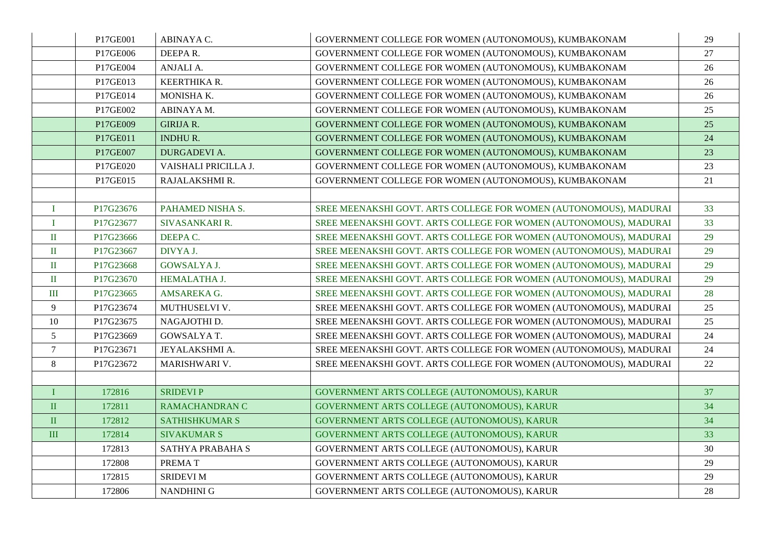|                 | P17GE001  | ABINAYA C.            | GOVERNMENT COLLEGE FOR WOMEN (AUTONOMOUS), KUMBAKONAM             | 29 |
|-----------------|-----------|-----------------------|-------------------------------------------------------------------|----|
|                 | P17GE006  | DEEPAR.               | GOVERNMENT COLLEGE FOR WOMEN (AUTONOMOUS), KUMBAKONAM             | 27 |
|                 | P17GE004  | ANJALI A.             | GOVERNMENT COLLEGE FOR WOMEN (AUTONOMOUS), KUMBAKONAM             | 26 |
|                 | P17GE013  | KEERTHIKA R.          | GOVERNMENT COLLEGE FOR WOMEN (AUTONOMOUS), KUMBAKONAM             | 26 |
|                 | P17GE014  | MONISHA K.            | GOVERNMENT COLLEGE FOR WOMEN (AUTONOMOUS), KUMBAKONAM             | 26 |
|                 | P17GE002  | ABINAYA M.            | GOVERNMENT COLLEGE FOR WOMEN (AUTONOMOUS), KUMBAKONAM             | 25 |
|                 | P17GE009  | <b>GIRIJA R.</b>      | GOVERNMENT COLLEGE FOR WOMEN (AUTONOMOUS), KUMBAKONAM             | 25 |
|                 | P17GE011  | <b>INDHUR.</b>        | GOVERNMENT COLLEGE FOR WOMEN (AUTONOMOUS), KUMBAKONAM             | 24 |
|                 | P17GE007  | <b>DURGADEVI A.</b>   | GOVERNMENT COLLEGE FOR WOMEN (AUTONOMOUS), KUMBAKONAM             | 23 |
|                 | P17GE020  | VAISHALI PRICILLA J.  | GOVERNMENT COLLEGE FOR WOMEN (AUTONOMOUS), KUMBAKONAM             | 23 |
|                 | P17GE015  | RAJALAKSHMI R.        | GOVERNMENT COLLEGE FOR WOMEN (AUTONOMOUS), KUMBAKONAM             | 21 |
|                 |           |                       |                                                                   |    |
| $\bf{I}$        | P17G23676 | PAHAMED NISHA S.      | SREE MEENAKSHI GOVT. ARTS COLLEGE FOR WOMEN (AUTONOMOUS), MADURAI | 33 |
| $\mathbf I$     | P17G23677 | SIVASANKARI R.        | SREE MEENAKSHI GOVT. ARTS COLLEGE FOR WOMEN (AUTONOMOUS), MADURAI | 33 |
| $\rm II$        | P17G23666 | DEEPA C.              | SREE MEENAKSHI GOVT. ARTS COLLEGE FOR WOMEN (AUTONOMOUS), MADURAI | 29 |
| $\rm II$        | P17G23667 | DIVYA J.              | SREE MEENAKSHI GOVT. ARTS COLLEGE FOR WOMEN (AUTONOMOUS), MADURAI | 29 |
| $\rm II$        | P17G23668 | <b>GOWSALYA J.</b>    | SREE MEENAKSHI GOVT. ARTS COLLEGE FOR WOMEN (AUTONOMOUS), MADURAI | 29 |
| $\rm{I\!I}$     | P17G23670 | HEMALATHA J.          | SREE MEENAKSHI GOVT. ARTS COLLEGE FOR WOMEN (AUTONOMOUS), MADURAI | 29 |
| $\rm III$       | P17G23665 | AMSAREKA G.           | SREE MEENAKSHI GOVT. ARTS COLLEGE FOR WOMEN (AUTONOMOUS), MADURAI | 28 |
| $\overline{9}$  | P17G23674 | MUTHUSELVI V.         | SREE MEENAKSHI GOVT. ARTS COLLEGE FOR WOMEN (AUTONOMOUS), MADURAI | 25 |
| 10              | P17G23675 | NAGAJOTHI D.          | SREE MEENAKSHI GOVT. ARTS COLLEGE FOR WOMEN (AUTONOMOUS), MADURAI | 25 |
| $5\overline{)}$ | P17G23669 | <b>GOWSALYAT.</b>     | SREE MEENAKSHI GOVT. ARTS COLLEGE FOR WOMEN (AUTONOMOUS), MADURAI | 24 |
| $\overline{7}$  | P17G23671 | JEYALAKSHMI A.        | SREE MEENAKSHI GOVT. ARTS COLLEGE FOR WOMEN (AUTONOMOUS), MADURAI | 24 |
| 8               | P17G23672 | MARISHWARI V.         | SREE MEENAKSHI GOVT. ARTS COLLEGE FOR WOMEN (AUTONOMOUS), MADURAI | 22 |
|                 |           |                       |                                                                   |    |
| $\bf{I}$        | 172816    | <b>SRIDEVIP</b>       | GOVERNMENT ARTS COLLEGE (AUTONOMOUS), KARUR                       | 37 |
| $\rm II$        | 172811    | <b>RAMACHANDRAN C</b> | GOVERNMENT ARTS COLLEGE (AUTONOMOUS), KARUR                       | 34 |
| $\rm II$        | 172812    | <b>SATHISHKUMAR S</b> | GOVERNMENT ARTS COLLEGE (AUTONOMOUS), KARUR                       | 34 |
| $\mathbf{I}$    | 172814    | <b>SIVAKUMAR S</b>    | GOVERNMENT ARTS COLLEGE (AUTONOMOUS), KARUR                       | 33 |
|                 | 172813    | SATHYA PRABAHA S      | GOVERNMENT ARTS COLLEGE (AUTONOMOUS), KARUR                       | 30 |
|                 | 172808    | PREMAT                | GOVERNMENT ARTS COLLEGE (AUTONOMOUS), KARUR                       | 29 |
|                 | 172815    | <b>SRIDEVI M</b>      | GOVERNMENT ARTS COLLEGE (AUTONOMOUS), KARUR                       | 29 |
|                 | 172806    | <b>NANDHINI G</b>     | GOVERNMENT ARTS COLLEGE (AUTONOMOUS), KARUR                       | 28 |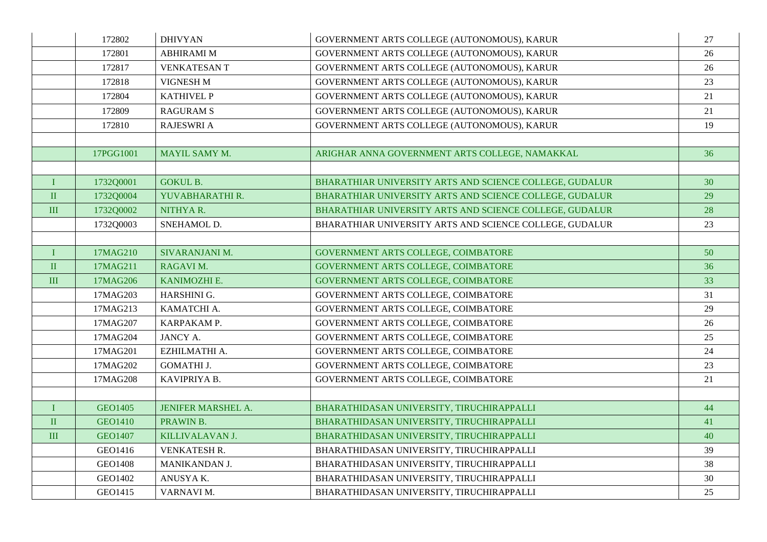|              | 172802         | <b>DHIVYAN</b>            | GOVERNMENT ARTS COLLEGE (AUTONOMOUS), KARUR             | 27 |
|--------------|----------------|---------------------------|---------------------------------------------------------|----|
|              | 172801         | <b>ABHIRAMI M</b>         | GOVERNMENT ARTS COLLEGE (AUTONOMOUS), KARUR             | 26 |
|              | 172817         | <b>VENKATESANT</b>        | GOVERNMENT ARTS COLLEGE (AUTONOMOUS), KARUR             | 26 |
|              | 172818         | VIGNESH M                 | GOVERNMENT ARTS COLLEGE (AUTONOMOUS), KARUR             | 23 |
|              | 172804         | <b>KATHIVEL P</b>         | GOVERNMENT ARTS COLLEGE (AUTONOMOUS), KARUR             | 21 |
|              | 172809         | <b>RAGURAM S</b>          | GOVERNMENT ARTS COLLEGE (AUTONOMOUS), KARUR             | 21 |
|              | 172810         | <b>RAJESWRI A</b>         | GOVERNMENT ARTS COLLEGE (AUTONOMOUS), KARUR             | 19 |
|              |                |                           |                                                         |    |
|              | 17PGG1001      | MAYIL SAMY M.             | ARIGHAR ANNA GOVERNMENT ARTS COLLEGE, NAMAKKAL          | 36 |
|              |                |                           |                                                         |    |
| $\bf{I}$     | 1732Q0001      | <b>GOKUL B.</b>           | BHARATHIAR UNIVERSITY ARTS AND SCIENCE COLLEGE, GUDALUR | 30 |
| $\rm II$     | 1732Q0004      | YUVABHARATHI R.           | BHARATHIAR UNIVERSITY ARTS AND SCIENCE COLLEGE, GUDALUR | 29 |
| $\rm III$    | 1732Q0002      | NITHYAR.                  | BHARATHIAR UNIVERSITY ARTS AND SCIENCE COLLEGE, GUDALUR | 28 |
|              | 1732Q0003      | SNEHAMOL D.               | BHARATHIAR UNIVERSITY ARTS AND SCIENCE COLLEGE, GUDALUR | 23 |
|              |                |                           |                                                         |    |
| $\bf{I}$     | 17MAG210       | SIVARANJANI M.            | GOVERNMENT ARTS COLLEGE, COIMBATORE                     | 50 |
| $\rm II$     | 17MAG211       | RAGAVI M.                 | GOVERNMENT ARTS COLLEGE, COIMBATORE                     | 36 |
| $\mathbf{I}$ | 17MAG206       | KANIMOZHI E.              | GOVERNMENT ARTS COLLEGE, COIMBATORE                     | 33 |
|              | 17MAG203       | HARSHINI G.               | GOVERNMENT ARTS COLLEGE, COIMBATORE                     | 31 |
|              | 17MAG213       | KAMATCHI A.               | GOVERNMENT ARTS COLLEGE, COIMBATORE                     | 29 |
|              | 17MAG207       | KARPAKAM P.               | GOVERNMENT ARTS COLLEGE, COIMBATORE                     | 26 |
|              | 17MAG204       | <b>JANCY A.</b>           | GOVERNMENT ARTS COLLEGE, COIMBATORE                     | 25 |
|              | 17MAG201       | EZHILMATHI A.             | GOVERNMENT ARTS COLLEGE, COIMBATORE                     | 24 |
|              | 17MAG202       | <b>GOMATHI J.</b>         | GOVERNMENT ARTS COLLEGE, COIMBATORE                     | 23 |
|              | 17MAG208       | KAVIPRIYA B.              | GOVERNMENT ARTS COLLEGE, COIMBATORE                     | 21 |
|              |                |                           |                                                         |    |
| $\mathbf{I}$ | GEO1405        | <b>JENIFER MARSHEL A.</b> | BHARATHIDASAN UNIVERSITY, TIRUCHIRAPPALLI               | 44 |
| $\rm II$     | <b>GEO1410</b> | PRAWIN B.                 | BHARATHIDASAN UNIVERSITY, TIRUCHIRAPPALLI               | 41 |
| $\mathbf{I}$ | <b>GEO1407</b> | KILLIVALAVAN J.           | BHARATHIDASAN UNIVERSITY, TIRUCHIRAPPALLI               | 40 |
|              | GEO1416        | VENKATESH R.              | BHARATHIDASAN UNIVERSITY, TIRUCHIRAPPALLI               | 39 |
|              | <b>GEO1408</b> | MANIKANDAN J.             | BHARATHIDASAN UNIVERSITY, TIRUCHIRAPPALLI               | 38 |
|              | GEO1402        | ANUSYA K.                 | BHARATHIDASAN UNIVERSITY, TIRUCHIRAPPALLI               | 30 |
|              | GEO1415        | VARNAVI M.                | BHARATHIDASAN UNIVERSITY, TIRUCHIRAPPALLI               | 25 |